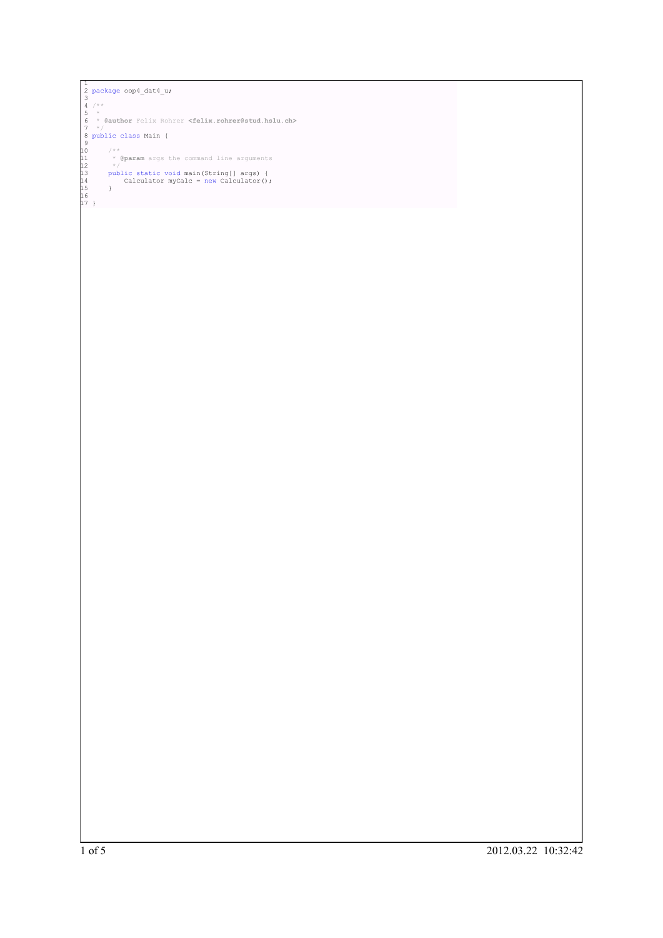```
<sup>1</sup><br>
<sup>3</sup><br>
<sup>3</sup><br>
<sup>4</sup>/*<br>
<sup>5</sup><br>
<sup>7</sup><br>
<sup>7</sup>/*<br>
<sup>7</sup><br>
<sup>7</sup>/*<br>
<sup>7</sup>/*<br>
<sup>7</sup><br>
<sup>7</sup>/*<br>
<sup>10</sup><br>
<sup>10</sup><br>
<sup>1</sup><br>
<sup>2</sup><br>
<sup>11</sup><br>
<sup>2</sup><br>
<sup>2</sup><br>
param args the command line arguments<br>
<sup>2</sup><br>
<sup>11</sup><br>
<sup>2</sup><br>
public static void main (String[] args) {<br>
13<br>
public sta
```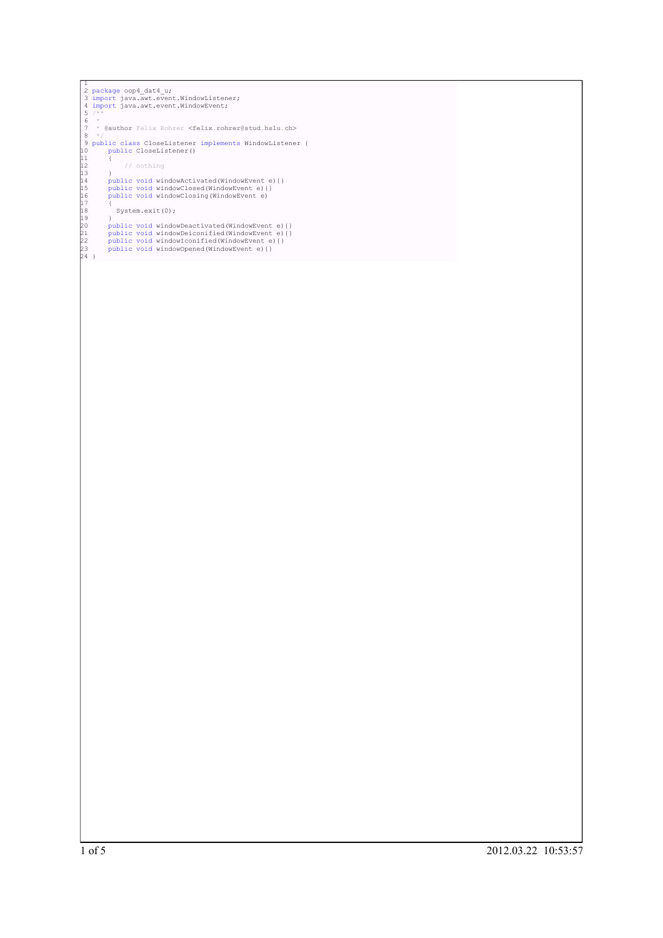```
1<br>
2 package oop4_dat4_u;<br>
3 import java.awt.event.WindowListener;<br>
5 **<br>
5 **<br>
7 * @author Felix Rohrer ≺felix.rohrer@stud.hslu.ch><br>
8 */<br>
7 * @author Felix Rohrer ≺felix.rohrer@stud.hslu.ch><br>
8 */<br>
9 public class Close
```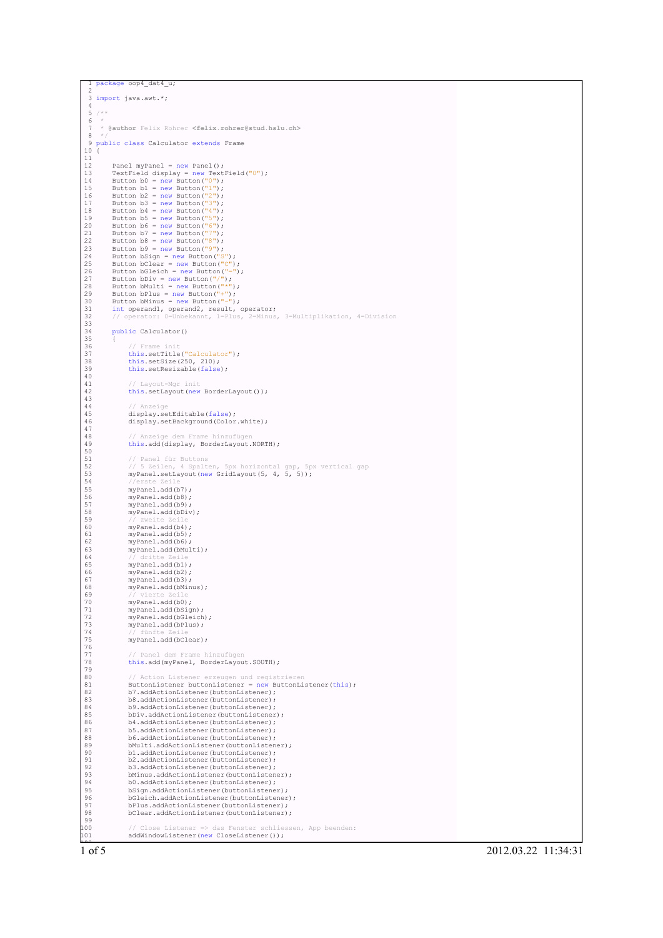```
ackage oop4 dat4 u;
   2
   3 import java.awt.*;
   4
  \frac{5}{6} / *
   6 *
7 * @author Felix Rohrer <felix.rohrer@stud.hslu.ch>
   8 */
9 public class Calculator extends Frame
 10 \left(\begin{array}{c} 11 \\ 12 \end{array}12 Panel myPanel = new Panel ();<br>
13 TextField display = new TextField ("0");<br>
14 Button b0 = new Button ("0");<br>
15 Button b1 = new Button ("1");<br>
15 Button b2 = new Button ("2");<br>
17 Button b3 = new Button ("3");<br>
18 But
 24 Button bSign = new Button("S");<br>
25 Button bClear = new Button("=");<br>
26 Button bGleich = new Button("-");<br>
28 Button bMulti = new Button("*");<br>
28 Button bMulti = new Button("*");
 29 Button bPlus = new Button("+");
30 Button bMinus = new Button("-");
 31 int operand1, operand2, result, operator;
32 // operator: 0=Unbekannt, 1=Plus, 2=Minus, 3=Multiplikation, 4=Division
 33
             public Calculator()
 35 {
                     36 // Frame init
                    this.setTitle("Calculator");
                     this.setSize(250, 210);this.setResizable(false);
 40
                     41 // Layout-Mgr init
                    this.setLayout(new BorderLayout());
 43
                     // Anzei
                    display.setEditable(false);
                    display.setBackground(Color.white);
 47
 48 // Anzeige dem Frame hinzufügen
49 this.add(display, BorderLayout.NORTH);
 50
 51 // Panel für Buttons
52 // 5 Zeilen, 4 Spalten, 5px horizontal gap, 5px vertical gap
53 myPanel.setLayout(new GridLayout(5, 4, 5, 5));
54 //erste Zeile
 55 myPanel.add(b7);<br>57 myPanel.add(b8);<br>57 myPanel.add(b9);<br>58 myPanel.add(b9);<br>59 //zweite Zeile<br>60 myPanel.add(b5);<br>62 myPanel.add(b5);
 56 myPanel.add(b8);
57 myPanel.add(b9);
                    myPanel.add(bDiv);
 59 // zweite Zeile
60 myPanel.add(b4);
 61 myPanel.add(b5);
62 myPanel.add(b6);
 63 myPanel.add(bMulti);<br>64 // dritte Zeile
 64 // dritte Zeile<br>65 myPanel.add(b1);
 66 myPanel.add(b2);
67 myPanel.add(b3);
                    myPanel.add(bMinus);
 69 // vierte Zeile
70 myPanel.add(b0);
                    myPanel.add(bSign);
                    myPanel.add(bGleich);
                    myPanel.add(bPlus);
 74 // fünfte Zeile
75 myPanel.add(bClear);
 76
                       <sup>/</sup> Panel dem Frame hinzufügen
                     this.add(myPanel, BorderLayout.SOUTH);
 79
 80 // Action Listener erzeugen und registrieren<br>81 ButtonListener buttonListener = new ButtonListener(this);
 82 b7.addActionListener(buttonListener);
83 b8.addActionListener(buttonListener);
 84 b9.addActionListener(buttonListener);<br>85 bDiv.addActionListener(buttonListener);<br>86 b4.addActionListener(buttonListener);
 85 bDiv.addActionListener(buttonListener);
86 b4.addActionListener(buttonListener);
 87 b5.addActionListener(buttonListener);<br>88 b6.addActionListener(buttonListener);
 88 b6.addActionListener(buttonListener);<br>B88 b6.addActionListener(buttonListener);<br>B90 b1.addActionListener(buttonListener);<br>b2.addActionListener(buttonListener);
                     bMulti.addActionListener(buttonListener);
 90 b1.addActionListener(buttonListener);
91 b2.addActionListener(buttonListener);
 92 b3.addActionListener(buttonListener);
93 bMinus.addActionListener(buttonListener);
                     94 b0.addActionListener(buttonListener);
 95 bSign.addActionListener(buttonListener);
96 bGleich.addActionListener(buttonListener);
 97 bPlus.addActionListener(buttonListener);
98 bClear.addActionListener(buttonListener);
92<br>
93<br>
94<br>
95<br>
96<br>
97<br>
98<br>
99<br>
99<br>
100
100 // Close Listener => das Fenster schliessen, App beenden:
101 addWindowListener(new CloseListener());
```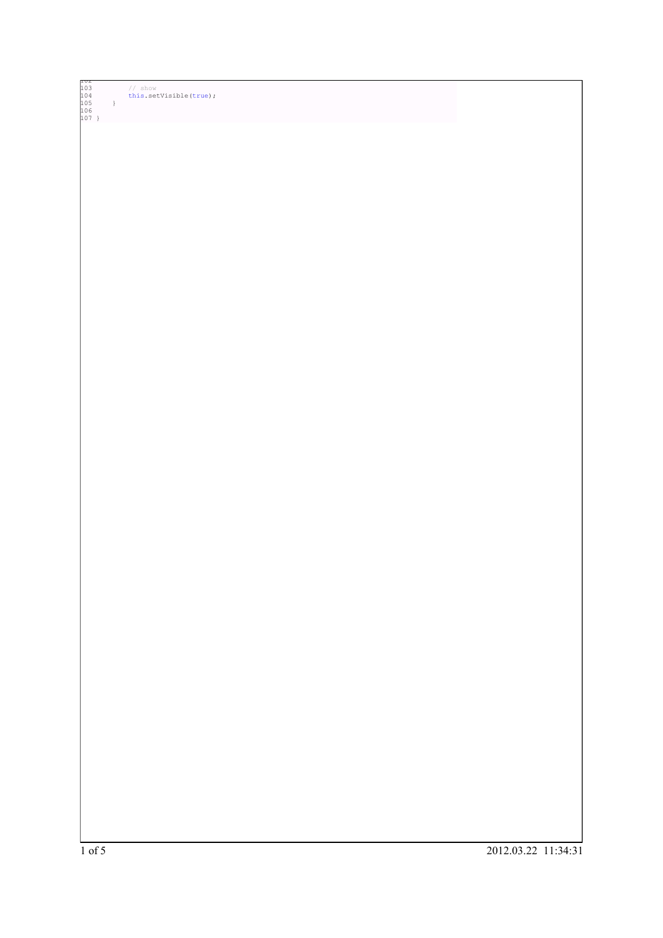| 103 |  | // show                |
|-----|--|------------------------|
| 104 |  | this.setVisible(true); |
| 105 |  |                        |
| 106 |  |                        |
| 107 |  |                        |